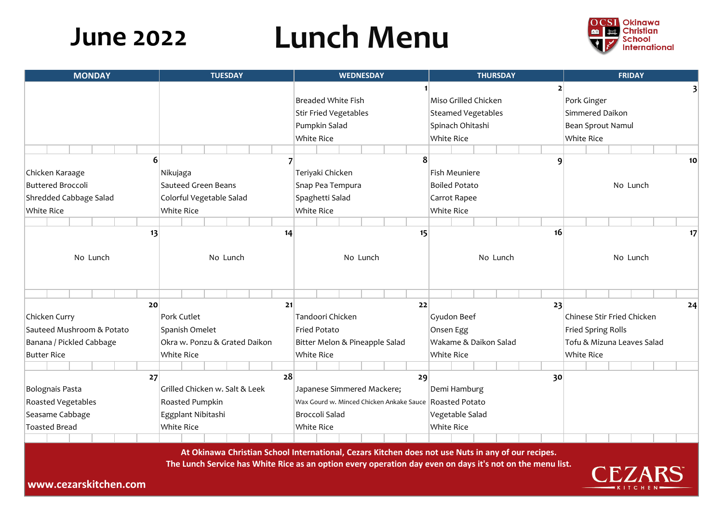# **Lunch Menu**

| <b>TUESDAY</b>                                                                                                                               |                                       |                               | <b>WEDNESDAY</b> |                       |                                |                              | <b>THURSDAY</b>   |                       |                      |                           |                            | <b>FRIDAY</b>     |                   |                 |  |  |                  |  |  |  |  |  |                 |
|----------------------------------------------------------------------------------------------------------------------------------------------|---------------------------------------|-------------------------------|------------------|-----------------------|--------------------------------|------------------------------|-------------------|-----------------------|----------------------|---------------------------|----------------------------|-------------------|-------------------|-----------------|--|--|------------------|--|--|--|--|--|-----------------|
|                                                                                                                                              |                                       |                               |                  |                       |                                |                              |                   |                       |                      |                           |                            |                   |                   |                 |  |  |                  |  |  |  |  |  |                 |
|                                                                                                                                              |                                       |                               |                  |                       | <b>Breaded White Fish</b>      |                              |                   |                       | Miso Grilled Chicken |                           |                            |                   | Pork Ginger       |                 |  |  |                  |  |  |  |  |  |                 |
|                                                                                                                                              |                                       |                               |                  |                       |                                | <b>Stir Fried Vegetables</b> |                   |                       |                      | <b>Steamed Vegetables</b> |                            |                   |                   | Simmered Daikon |  |  |                  |  |  |  |  |  |                 |
|                                                                                                                                              |                                       |                               |                  |                       | Pumpkin Salad                  |                              |                   |                       | Spinach Ohitashi     |                           |                            |                   | Bean Sprout Namul |                 |  |  |                  |  |  |  |  |  |                 |
|                                                                                                                                              |                                       |                               |                  | <b>White Rice</b>     |                                |                              |                   |                       | <b>White Rice</b>    |                           |                            |                   | <b>White Rice</b> |                 |  |  |                  |  |  |  |  |  |                 |
|                                                                                                                                              |                                       |                               |                  |                       |                                |                              |                   |                       |                      |                           |                            |                   |                   |                 |  |  |                  |  |  |  |  |  |                 |
| $\vert 6 \vert$                                                                                                                              |                                       |                               |                  |                       |                                |                              |                   |                       |                      |                           | 8                          |                   |                   |                 |  |  | $\mathbf \Omega$ |  |  |  |  |  | 10              |
|                                                                                                                                              | Nikujaga                              |                               |                  |                       |                                | Teriyaki Chicken             |                   |                       |                      | <b>Fish Meuniere</b>      |                            |                   |                   | No Lunch        |  |  |                  |  |  |  |  |  |                 |
|                                                                                                                                              | <b>Sauteed Green Beans</b>            |                               |                  |                       |                                | Snap Pea Tempura             |                   |                       |                      | <b>Boiled Potato</b>      |                            |                   |                   |                 |  |  |                  |  |  |  |  |  |                 |
|                                                                                                                                              | Colorful Vegetable Salad              |                               |                  |                       |                                | Spaghetti Salad              |                   |                       |                      | Carrot Rapee              |                            |                   |                   |                 |  |  |                  |  |  |  |  |  |                 |
|                                                                                                                                              | <b>White Rice</b>                     |                               |                  |                       |                                |                              | <b>White Rice</b> |                       |                      |                           |                            | <b>White Rice</b> |                   |                 |  |  |                  |  |  |  |  |  |                 |
|                                                                                                                                              |                                       |                               |                  |                       |                                |                              |                   |                       |                      |                           |                            |                   |                   |                 |  |  |                  |  |  |  |  |  |                 |
| 13                                                                                                                                           |                                       |                               |                  |                       | 14                             |                              |                   |                       |                      |                           | 15                         |                   |                   |                 |  |  | 16               |  |  |  |  |  | 17 <sup>2</sup> |
|                                                                                                                                              |                                       |                               |                  |                       |                                |                              |                   |                       |                      |                           |                            |                   |                   |                 |  |  |                  |  |  |  |  |  |                 |
|                                                                                                                                              | No Lunch                              |                               |                  | No Lunch              |                                |                              |                   | No Lunch              |                      |                           |                            | No Lunch          |                   |                 |  |  |                  |  |  |  |  |  |                 |
|                                                                                                                                              |                                       |                               |                  |                       |                                |                              |                   |                       |                      |                           |                            |                   |                   |                 |  |  |                  |  |  |  |  |  |                 |
|                                                                                                                                              |                                       |                               |                  |                       |                                |                              |                   |                       |                      |                           |                            |                   |                   |                 |  |  |                  |  |  |  |  |  |                 |
| 20 <sub>l</sub>                                                                                                                              |                                       |                               |                  |                       | 21                             |                              |                   |                       |                      |                           | 22                         |                   |                   |                 |  |  | 23               |  |  |  |  |  | 24              |
|                                                                                                                                              | Pork Cutlet                           |                               |                  |                       | Tandoori Chicken               |                              |                   | Gyudon Beef           |                      |                           | Chinese Stir Fried Chicken |                   |                   |                 |  |  |                  |  |  |  |  |  |                 |
|                                                                                                                                              | <b>Fried Potato</b><br>Spanish Omelet |                               |                  |                       | Onsen Egg                      |                              |                   |                       |                      |                           | <b>Fried Spring Rolls</b>  |                   |                   |                 |  |  |                  |  |  |  |  |  |                 |
|                                                                                                                                              |                                       | Okra w. Ponzu & Grated Daikon |                  |                       | Bitter Melon & Pineapple Salad |                              |                   | Wakame & Daikon Salad |                      |                           | Tofu & Mizuna Leaves Salad |                   |                   |                 |  |  |                  |  |  |  |  |  |                 |
|                                                                                                                                              | <b>White Rice</b>                     |                               |                  | <b>White Rice</b>     |                                |                              |                   | <b>White Rice</b>     |                      |                           |                            | <b>White Rice</b> |                   |                 |  |  |                  |  |  |  |  |  |                 |
|                                                                                                                                              |                                       |                               |                  |                       |                                |                              |                   |                       |                      |                           |                            |                   |                   |                 |  |  |                  |  |  |  |  |  |                 |
| 27                                                                                                                                           |                                       |                               |                  |                       | 28                             |                              |                   |                       |                      |                           | 29                         |                   |                   |                 |  |  | 30               |  |  |  |  |  |                 |
| Grilled Chicken w. Salt & Leek<br>Japanese Simmered Mackere;<br>Wax Gourd w. Minced Chicken Ankake Sauce   Roasted Potato<br>Roasted Pumpkin |                                       |                               |                  |                       |                                |                              | Demi Hamburg      |                       |                      |                           |                            |                   |                   |                 |  |  |                  |  |  |  |  |  |                 |
|                                                                                                                                              |                                       |                               |                  |                       |                                |                              |                   |                       |                      |                           |                            |                   |                   |                 |  |  |                  |  |  |  |  |  |                 |
| Eggplant Nibitashi                                                                                                                           |                                       |                               |                  | <b>Broccoli Salad</b> |                                |                              |                   | Vegetable Salad       |                      |                           |                            |                   |                   |                 |  |  |                  |  |  |  |  |  |                 |
| <b>White Rice</b>                                                                                                                            |                                       |                               |                  | <b>White Rice</b>     |                                |                              |                   | <b>White Rice</b>     |                      |                           |                            |                   |                   |                 |  |  |                  |  |  |  |  |  |                 |
|                                                                                                                                              |                                       |                               |                  |                       |                                |                              |                   |                       |                      |                           |                            |                   |                   |                 |  |  |                  |  |  |  |  |  |                 |



| <b>MONDAY</b>                 | <b>TUESDAY</b>                 | <b>WEDNESDAY</b>                         | <b>THURSDAY</b>       | <b>FRIDAY</b>                                       |  |  |  |
|-------------------------------|--------------------------------|------------------------------------------|-----------------------|-----------------------------------------------------|--|--|--|
|                               |                                |                                          |                       |                                                     |  |  |  |
|                               |                                | <b>Breaded White Fish</b>                | Miso Grilled Chicken  | Pork Ginger<br>Simmered Daikon<br>Bean Sprout Namul |  |  |  |
|                               |                                | <b>Stir Fried Vegetables</b>             | Steamed Vegetables    |                                                     |  |  |  |
|                               |                                | Pumpkin Salad                            | Spinach Ohitashi      |                                                     |  |  |  |
|                               |                                | <b>White Rice</b>                        | <b>White Rice</b>     | <b>White Rice</b>                                   |  |  |  |
|                               |                                |                                          |                       |                                                     |  |  |  |
| $\mathbf{6}$                  |                                |                                          | 9                     |                                                     |  |  |  |
| Chicken Karaage               | Nikujaga                       | Teriyaki Chicken                         | <b>Fish Meuniere</b>  |                                                     |  |  |  |
| <b>Buttered Broccoli</b>      | <b>Sauteed Green Beans</b>     | Snap Pea Tempura                         | <b>Boiled Potato</b>  | No Lunch                                            |  |  |  |
| <b>Shredded Cabbage Salad</b> | Colorful Vegetable Salad       | Spaghetti Salad                          | Carrot Rapee          |                                                     |  |  |  |
| <b>White Rice</b>             | <b>White Rice</b>              | <b>White Rice</b>                        | <b>White Rice</b>     |                                                     |  |  |  |
|                               |                                |                                          |                       |                                                     |  |  |  |
| 13                            | 14                             | 15                                       | 16                    |                                                     |  |  |  |
|                               |                                |                                          |                       |                                                     |  |  |  |
| No Lunch                      | No Lunch                       | No Lunch                                 | No Lunch              | No Lunch                                            |  |  |  |
|                               |                                |                                          |                       |                                                     |  |  |  |
|                               |                                |                                          |                       |                                                     |  |  |  |
| 20                            | 21                             | 22                                       | 23                    |                                                     |  |  |  |
| Chicken Curry                 | <b>Pork Cutlet</b>             | Tandoori Chicken                         | Gyudon Beef           | Chinese Stir Fried Chicken                          |  |  |  |
| Sauteed Mushroom & Potato     | Spanish Omelet                 | <b>Fried Potato</b>                      | Onsen Egg             | <b>Fried Spring Rolls</b>                           |  |  |  |
| Banana / Pickled Cabbage      | Okra w. Ponzu & Grated Daikon  | Bitter Melon & Pineapple Salad           | Wakame & Daikon Salad | Tofu & Mizuna Leaves Salad                          |  |  |  |
| <b>Butter Rice</b>            | <b>White Rice</b>              | <b>White Rice</b>                        | <b>White Rice</b>     | <b>White Rice</b>                                   |  |  |  |
|                               |                                |                                          |                       |                                                     |  |  |  |
| 27                            | 28                             | 29                                       | 30                    |                                                     |  |  |  |
| Bolognais Pasta               | Grilled Chicken w. Salt & Leek | Japanese Simmered Mackere;               | Demi Hamburg          |                                                     |  |  |  |
| <b>Roasted Vegetables</b>     | Roasted Pumpkin                | Wax Gourd w. Minced Chicken Ankake Sauce | Roasted Potato        |                                                     |  |  |  |
| Seasame Cabbage               | Eggplant Nibitashi             | <b>Broccoli Salad</b>                    | Vegetable Salad       |                                                     |  |  |  |
| <b>Toasted Bread</b>          | <b>White Rice</b>              | <b>White Rice</b>                        | <b>White Rice</b>     |                                                     |  |  |  |
|                               |                                |                                          |                       |                                                     |  |  |  |

**www.cezarskitchen.com**



### **June 2022**

**At Okinawa Christian School International, Cezars Kitchen does not use Nuts in any of our recipes. The Lunch Service has White Rice as an option every operation day even on days it's not on the menu list.**